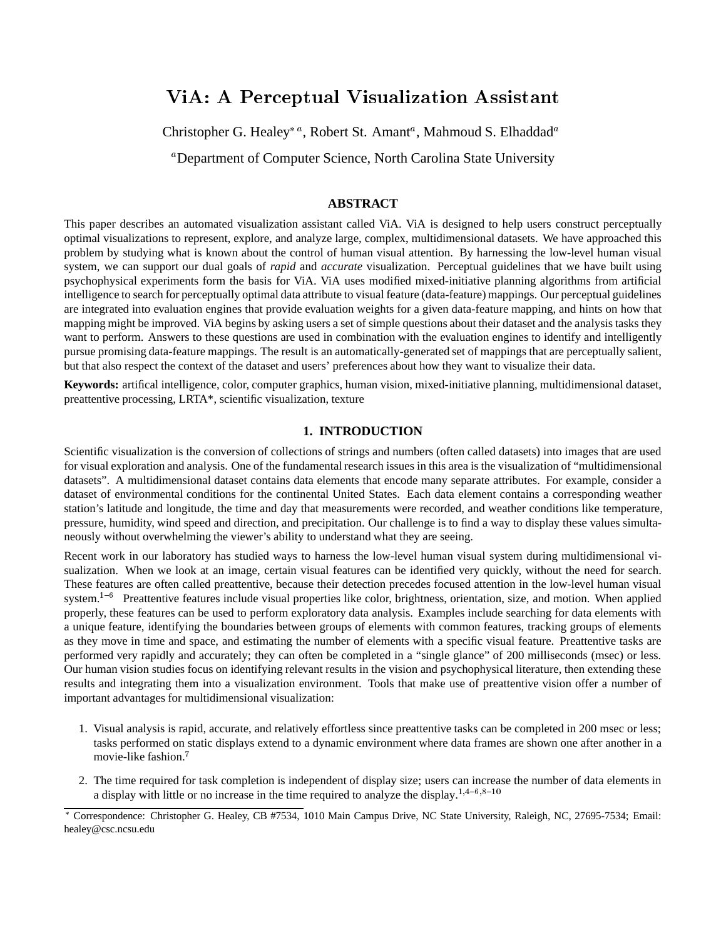# ViA: A Perceptual Visualization Assistant

## Christopher G. Healey<sup>\*</sup><sup>a</sup>, Robert St. Amant<sup>a</sup>, Mahmoud S. Elhaddad<sup>a</sup>

<sup>a</sup> Department of Computer Science, North Carolina State University

#### **ABSTRACT**

This paper describes an automated visualization assistant called ViA. ViA is designed to help users construct perceptually optimal visualizations to represent, explore, and analyze large, complex, multidimensional datasets. We have approached this problem by studying what is known about the control of human visual attention. By harnessing the low-level human visual system, we can support our dual goals of *rapid* and *accurate* visualization. Perceptual guidelines that we have built using psychophysical experiments form the basis for ViA. ViA uses modified mixed-initiative planning algorithms from artificial intelligence to search for perceptually optimal data attribute to visual feature (data-feature) mappings. Our perceptual guidelines are integrated into evaluation engines that provide evaluation weights for a given data-feature mapping, and hints on how that mapping might be improved. ViA begins by asking users a set of simple questions about their dataset and the analysis tasks they want to perform. Answers to these questions are used in combination with the evaluation engines to identify and intelligently pursue promising data-feature mappings. The result is an automatically-generated set of mappings that are perceptually salient, but that also respect the context of the dataset and users' preferences about how they want to visualize their data.

**Keywords:** artifical intelligence, color, computer graphics, human vision, mixed-initiative planning, multidimensional dataset, preattentive processing, LRTA\*, scientific visualization, texture

#### **1. INTRODUCTION**

Scientific visualization is the conversion of collections of strings and numbers (often called datasets) into images that are used for visual exploration and analysis. One of the fundamental research issues in this area is the visualization of "multidimensional datasets". A multidimensional dataset contains data elements that encode many separate attributes. For example, consider a dataset of environmental conditions for the continental United States. Each data element contains a corresponding weather station's latitude and longitude, the time and day that measurements were recorded, and weather conditions like temperature, pressure, humidity, wind speed and direction, and precipitation. Our challenge is to find a way to display these values simultaneously without overwhelming the viewer's ability to understand what they are seeing.

Recent work in our laboratory has studied ways to harness the low-level human visual system during multidimensional visualization. When we look at an image, certain visual features can be identified very quickly, without the need for search. These features are often called preattentive, because their detection precedes focused attention in the low-level human visual system.<sup>1-6</sup> Preattentive features include visual properties like color, brightness, orientation, size, and motion. When applied properly, these features can be used to perform exploratory data analysis. Examples include searching for data elements with a unique feature, identifying the boundaries between groups of elements with common features, tracking groups of elements as they move in time and space, and estimating the number of elements with a specific visual feature. Preattentive tasks are performed very rapidly and accurately; they can often be completed in a "single glance" of 200 milliseconds (msec) or less. Our human vision studies focus on identifying relevant results in the vision and psychophysical literature, then extending these results and integrating them into a visualization environment. Tools that make use of preattentive vision offer a number of important advantages for multidimensional visualization:

- 1. Visual analysis is rapid, accurate, and relatively effortless since preattentive tasks can be completed in 200 msec or less; tasks performed on static displays extend to a dynamic environment where data frames are shown one after another in a movie-like fashion.<sup>7</sup>
- 2. The time required for task completion is independent of display size; users can increase the number of data elements in a display with little or no increase in the time required to analyze the display.<sup>1,4-6,8-10</sup>

Correspondence: Christopher G. Healey, CB #7534, 1010 Main Campus Drive, NC State University, Raleigh, NC, 27695-7534; Email: healey@csc.ncsu.edu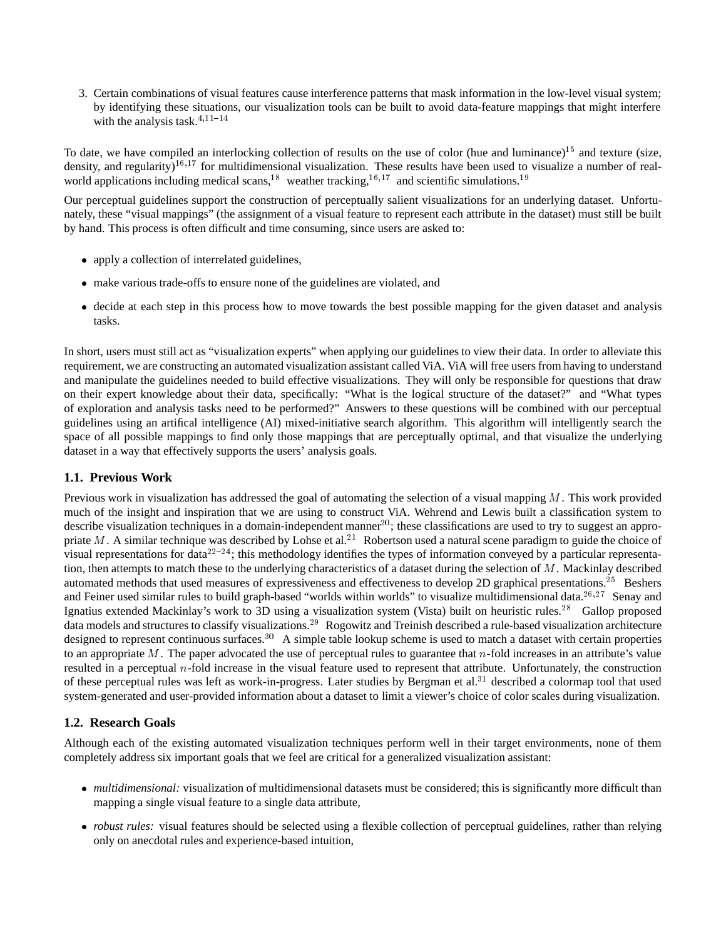3. Certain combinations of visual features cause interference patterns that mask information in the low-level visual system; by identifying these situations, our visualization tools can be built to avoid data-feature mappings that might interfere with the analysis task. $4,11-14$ 

To date, we have compiled an interlocking collection of results on the use of color (hue and luminance)<sup>15</sup> and texture (size, density, and regularity)<sup>16,17</sup> for multidimensional visualization. These results have been used to visualize a number of realworld applications including medical scans,<sup>18</sup> weather tracking,<sup>16,17</sup> and scientific simulations.<sup>19</sup>

Our perceptual guidelines support the construction of perceptually salient visualizations for an underlying dataset. Unfortunately, these "visual mappings" (the assignment of a visual feature to represent each attribute in the dataset) must still be built by hand. This process is often difficult and time consuming, since users are asked to:

- apply a collection of interrelated guidelines,
- make various trade-offs to ensure none of the guidelines are violated, and
- decide at each step in this process how to move towards the best possible mapping for the given dataset and analysis tasks.

In short, users must still act as "visualization experts" when applying our guidelines to view their data. In order to alleviate this requirement, we are constructing an automated visualization assistant called ViA. ViA will free users from having to understand and manipulate the guidelines needed to build effective visualizations. They will only be responsible for questions that draw on their expert knowledge about their data, specifically: "What is the logical structure of the dataset?" and "What types of exploration and analysis tasks need to be performed?" Answers to these questions will be combined with our perceptual guidelines using an artifical intelligence (AI) mixed-initiative search algorithm. This algorithm will intelligently search the space of all possible mappings to find only those mappings that are perceptually optimal, and that visualize the underlying dataset in a way that effectively supports the users' analysis goals.

## **1.1. Previous Work**

Previous work in visualization has addressed the goal of automating the selection of a visual mapping  $M$ . This work provided much of the insight and inspiration that we are using to construct ViA. Wehrend and Lewis built a classification system to describe visualization techniques in a domain-independent manner $^{20}$ ; these classifications are used to try to suggest an appropriate M. A similar technique was described by Lohse et al.<sup>21</sup> Robertson used a natural scene paradigm to guide the choice of visual representations for data<sup>22-24</sup>; this methodology identifies the types of information conveyed by a particular representation, then attempts to match these to the underlying characteristics of a dataset during the selection of M. Mackinlay described automated methods that used measures of expressiveness and effectiveness to develop 2D graphical presentations.<sup>25</sup> Beshers and Feiner used similar rules to build graph-based "worlds within worlds" to visualize multidimensional data.<sup>26,27</sup> Senay and Ignatius extended Mackinlay's work to 3D using a visualization system (Vista) built on heuristic rules.<sup>28</sup> Gallop proposed data models and structures to classify visualizations.<sup>29</sup> Rogowitz and Treinish described a rule-based visualization architecture designed to represent continuous surfaces.<sup>30</sup> A simple table lookup scheme is used to match a dataset with certain properties to an appropriate M. The paper advocated the use of perceptual rules to guarantee that  $n$ -fold increases in an attribute's value resulted in a perceptual <sup>n</sup>-fold increase in the visual feature used to represent that attribute. Unfortunately, the construction of these perceptual rules was left as work-in-progress. Later studies by Bergman et al.<sup>31</sup> described a colormap tool that used system-generated and user-provided information about a dataset to limit a viewer's choice of color scales during visualization.

# **1.2. Research Goals**

Although each of the existing automated visualization techniques perform well in their target environments, none of them completely address six important goals that we feel are critical for a generalized visualization assistant:

- *multidimensional:* visualization of multidimensional datasets must be considered; this is significantly more difficult than mapping a single visual feature to a single data attribute,
- *robust rules:* visual features should be selected using a flexible collection of perceptual guidelines, rather than relying only on anecdotal rules and experience-based intuition,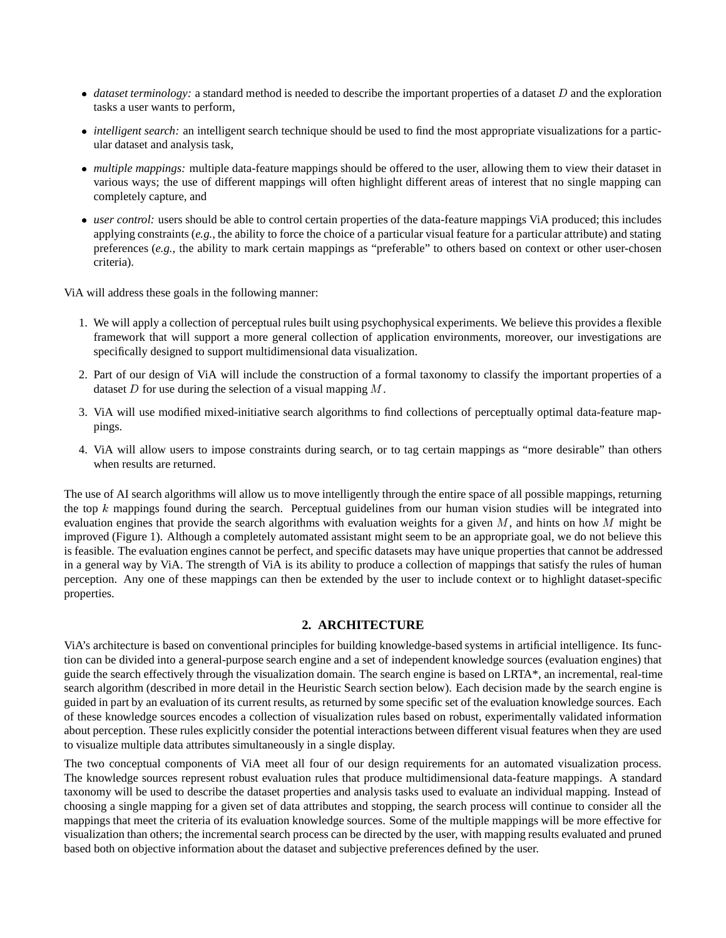- *dataset terminology:* a standard method is needed to describe the important properties of a dataset D and the exploration tasks a user wants to perform,
- *intelligent search:* an intelligent search technique should be used to find the most appropriate visualizations for a particular dataset and analysis task,
- *multiple mappings:* multiple data-feature mappings should be offered to the user, allowing them to view their dataset in various ways; the use of different mappings will often highlight different areas of interest that no single mapping can completely capture, and
- *user control:* users should be able to control certain properties of the data-feature mappings ViA produced; this includes applying constraints (*e.g.,* the ability to force the choice of a particular visual feature for a particular attribute) and stating preferences (*e.g.,* the ability to mark certain mappings as "preferable" to others based on context or other user-chosen criteria).

ViA will address these goals in the following manner:

- 1. We will apply a collection of perceptual rules built using psychophysical experiments. We believe this provides a flexible framework that will support a more general collection of application environments, moreover, our investigations are specifically designed to support multidimensional data visualization.
- 2. Part of our design of ViA will include the construction of a formal taxonomy to classify the important properties of a dataset  $D$  for use during the selection of a visual mapping  $M$ .
- 3. ViA will use modified mixed-initiative search algorithms to find collections of perceptually optimal data-feature mappings.
- 4. ViA will allow users to impose constraints during search, or to tag certain mappings as "more desirable" than others when results are returned.

The use of AI search algorithms will allow us to move intelligently through the entire space of all possible mappings, returning the top  $k$  mappings found during the search. Perceptual guidelines from our human vision studies will be integrated into evaluation engines that provide the search algorithms with evaluation weights for a given  $M$ , and hints on how  $M$  might be improved (Figure 1). Although a completely automated assistant might seem to be an appropriate goal, we do not believe this is feasible. The evaluation engines cannot be perfect, and specific datasets may have unique properties that cannot be addressed in a general way by ViA. The strength of ViA is its ability to produce a collection of mappings that satisfy the rules of human perception. Any one of these mappings can then be extended by the user to include context or to highlight dataset-specific properties.

## **2. ARCHITECTURE**

ViA's architecture is based on conventional principles for building knowledge-based systems in artificial intelligence. Its function can be divided into a general-purpose search engine and a set of independent knowledge sources (evaluation engines) that guide the search effectively through the visualization domain. The search engine is based on LRTA\*, an incremental, real-time search algorithm (described in more detail in the Heuristic Search section below). Each decision made by the search engine is guided in part by an evaluation of its current results, as returned by some specific set of the evaluation knowledge sources. Each of these knowledge sources encodes a collection of visualization rules based on robust, experimentally validated information about perception. These rules explicitly consider the potential interactions between different visual features when they are used to visualize multiple data attributes simultaneously in a single display.

The two conceptual components of ViA meet all four of our design requirements for an automated visualization process. The knowledge sources represent robust evaluation rules that produce multidimensional data-feature mappings. A standard taxonomy will be used to describe the dataset properties and analysis tasks used to evaluate an individual mapping. Instead of choosing a single mapping for a given set of data attributes and stopping, the search process will continue to consider all the mappings that meet the criteria of its evaluation knowledge sources. Some of the multiple mappings will be more effective for visualization than others; the incremental search process can be directed by the user, with mapping results evaluated and pruned based both on objective information about the dataset and subjective preferences defined by the user.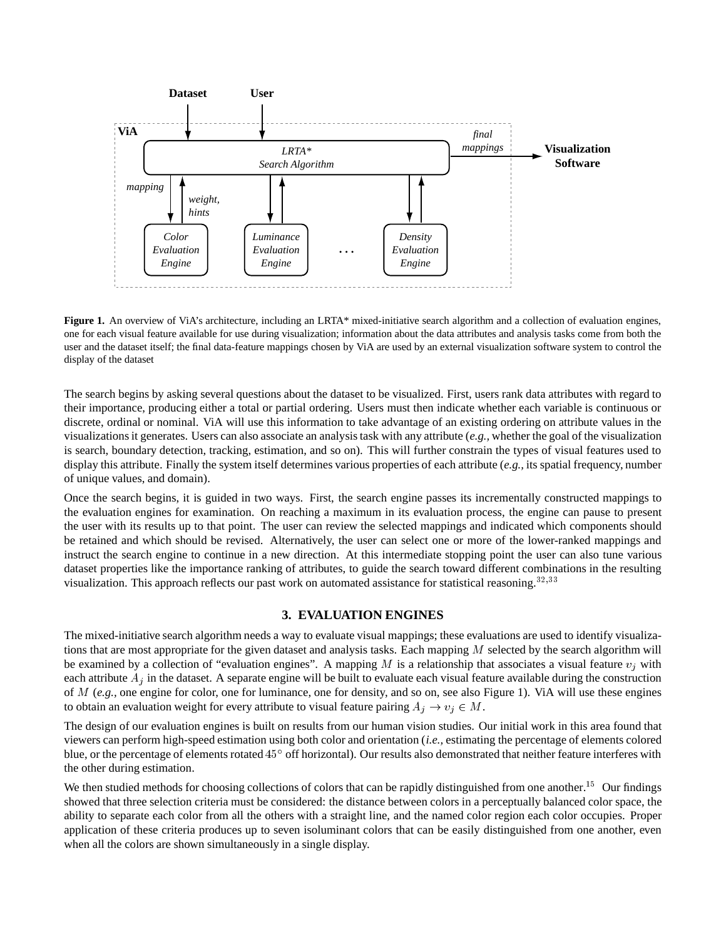

**Figure 1.** An overview of ViA's architecture, including an LRTA\* mixed-initiative search algorithm and a collection of evaluation engines, one for each visual feature available for use during visualization; information about the data attributes and analysis tasks come from both the user and the dataset itself; the final data-feature mappings chosen by ViA are used by an external visualization software system to control the display of the dataset

The search begins by asking several questions about the dataset to be visualized. First, users rank data attributes with regard to their importance, producing either a total or partial ordering. Users must then indicate whether each variable is continuous or discrete, ordinal or nominal. ViA will use this information to take advantage of an existing ordering on attribute values in the visualizations it generates. Users can also associate an analysis task with any attribute (*e.g.,* whether the goal of the visualization is search, boundary detection, tracking, estimation, and so on). This will further constrain the types of visual features used to display this attribute. Finally the system itself determines various properties of each attribute (*e.g.,* its spatial frequency, number of unique values, and domain).

Once the search begins, it is guided in two ways. First, the search engine passes its incrementally constructed mappings to the evaluation engines for examination. On reaching a maximum in its evaluation process, the engine can pause to present the user with its results up to that point. The user can review the selected mappings and indicated which components should be retained and which should be revised. Alternatively, the user can select one or more of the lower-ranked mappings and instruct the search engine to continue in a new direction. At this intermediate stopping point the user can also tune various dataset properties like the importance ranking of attributes, to guide the search toward different combinations in the resulting visualization. This approach reflects our past work on automated assistance for statistical reasoning.<sup>32,33</sup>

#### **3. EVALUATION ENGINES**

The mixed-initiative search algorithm needs a way to evaluate visual mappings; these evaluations are used to identify visualizations that are most appropriate for the given dataset and analysis tasks. Each mapping M selected by the search algorithm will be examined by a collection of "evaluation engines". A mapping  $M$  is a relationship that associates a visual feature  $v_j$  with each attribute  $A_j$  in the dataset. A separate engine will be built to evaluate each visual feature available during the construction of M (*e.g.,* one engine for color, one for luminance, one for density, and so on, see also Figure 1). ViA will use these engines to obtain an evaluation weight for every attribute to visual feature pairing  $A_j \rightarrow v_j \in M$ .

The design of our evaluation engines is built on results from our human vision studies. Our initial work in this area found that viewers can perform high-speed estimation using both color and orientation (*i.e.,* estimating the percentage of elements colored blue, or the percentage of elements rotated  $45^{\circ}$  off horizontal). Our results also demonstrated that neither feature interferes with the other during estimation.

We then studied methods for choosing collections of colors that can be rapidly distinguished from one another.<sup>15</sup> Our findings showed that three selection criteria must be considered: the distance between colors in a perceptually balanced color space, the ability to separate each color from all the others with a straight line, and the named color region each color occupies. Proper application of these criteria produces up to seven isoluminant colors that can be easily distinguished from one another, even when all the colors are shown simultaneously in a single display.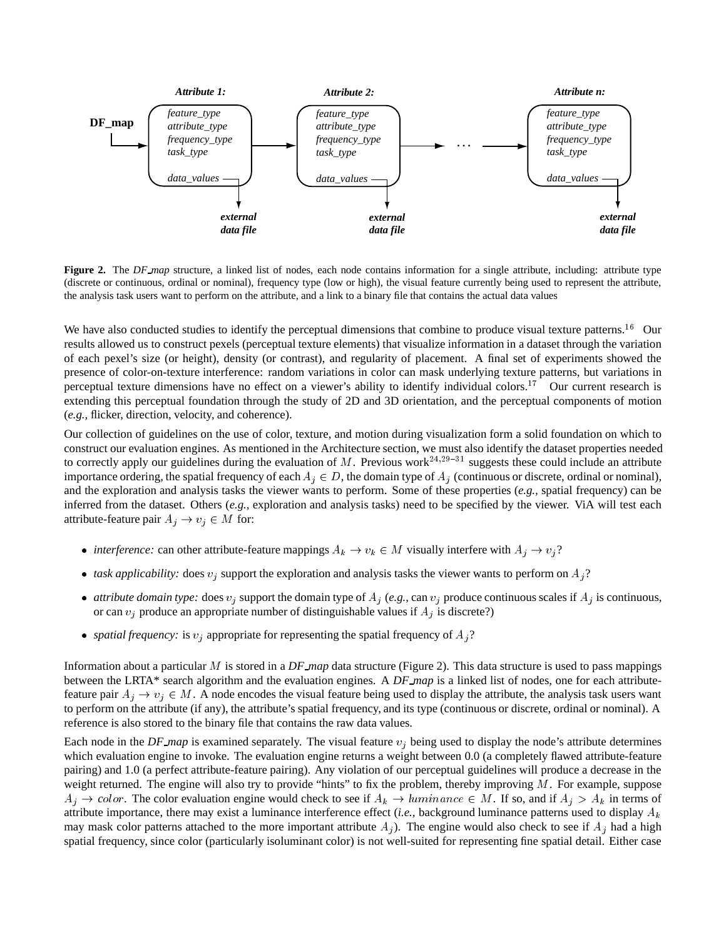

**Figure 2.** The *DF map* structure, a linked list of nodes, each node contains information for a single attribute, including: attribute type (discrete or continuous, ordinal or nominal), frequency type (low or high), the visual feature currently being used to represent the attribute, the analysis task users want to perform on the attribute, and a link to a binary file that contains the actual data values

We have also conducted studies to identify the perceptual dimensions that combine to produce visual texture patterns.<sup>16</sup> Our results allowed us to construct pexels (perceptual texture elements) that visualize information in a dataset through the variation of each pexel's size (or height), density (or contrast), and regularity of placement. A final set of experiments showed the presence of color-on-texture interference: random variations in color can mask underlying texture patterns, but variations in perceptual texture dimensions have no effect on a viewer's ability to identify individual colors.<sup>17</sup> Our current research is extending this perceptual foundation through the study of 2D and 3D orientation, and the perceptual components of motion (*e.g.,* flicker, direction, velocity, and coherence).

Our collection of guidelines on the use of color, texture, and motion during visualization form a solid foundation on which to construct our evaluation engines. As mentioned in the Architecture section, we must also identify the dataset properties needed to correctly apply our guidelines during the evaluation of M. Previous work<sup>24,29-31</sup> suggests these could include an attribute importance ordering, the spatial frequency of each  $A_j \in D$ , the domain type of  $A_j$  (continuous or discrete, ordinal or nominal), and the exploration and analysis tasks the viewer wants to perform. Some of these properties (*e.g.,* spatial frequency) can be inferred from the dataset. Others (*e.g.,* exploration and analysis tasks) need to be specified by the viewer. ViA will test each attribute-feature pair  $A_j \to v_j \in M$  for:

- *interference:* can other attribute-feature mappings  $A_k \to v_k \in M$  visually interfere with  $A_j \to v_j$ ?
- task applicability: does  $v_j$  support the exploration and analysis tasks the viewer wants to perform on  $A_j$ ?
- *attribute domain type:* does  $v_j$  support the domain type of  $A_j$  (*e.g.,* can  $v_j$  produce continuous scales if  $A_j$  is continuous, or can  $v_j$  produce an appropriate number of distinguishable values if  $A_j$  is discrete?)
- *spatial frequency:* is  $v_i$  appropriate for representing the spatial frequency of  $A_i$ ?

Information about a particular <sup>M</sup> is stored in a *DF map* data structure (Figure 2). This data structure is used to pass mappings between the LRTA\* search algorithm and the evaluation engines. A *DF map* is a linked list of nodes, one for each attributefeature pair  $A_j \to v_j \in M$ . A node encodes the visual feature being used to display the attribute, the analysis task users want to perform on the attribute (if any), the attribute's spatial frequency, and its type (continuous or discrete, ordinal or nominal). A reference is also stored to the binary file that contains the raw data values.

Each node in the *DF map* is examined separately. The visual feature  $v_j$  being used to display the node's attribute determines which evaluation engine to invoke. The evaluation engine returns a weight between 0.0 (a completely flawed attribute-feature pairing) and 1.0 (a perfect attribute-feature pairing). Any violation of our perceptual guidelines will produce a decrease in the weight returned. The engine will also try to provide "hints" to fix the problem, thereby improving  $M$ . For example, suppose  $A_i \to color$ . The color evaluation engine would check to see if  $A_k \to luminance \in M$ . If so, and if  $A_i > A_k$  in terms of attribute importance, there may exist a luminance interference effect (*i.e.,* background luminance patterns used to display Ak may mask color patterns attached to the more important attribute  $A_i$ ). The engine would also check to see if  $A_i$  had a high spatial frequency, since color (particularly isoluminant color) is not well-suited for representing fine spatial detail. Either case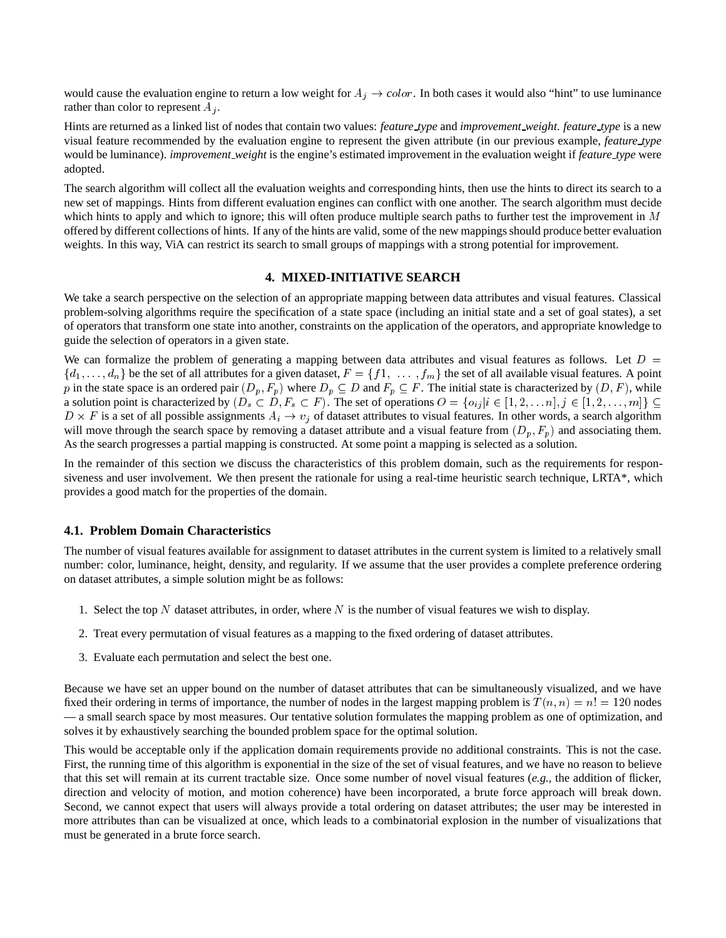would cause the evaluation engine to return a low weight for  $A_i \rightarrow color$ . In both cases it would also "hint" to use luminance rather than color to represent  $A_i$ .

Hints are returned as a linked list of nodes that contain two values: *feature type* and *improvement weight*. *feature type* is a new visual feature recommended by the evaluation engine to represent the given attribute (in our previous example, *feature type* would be luminance). *improvement weight* is the engine's estimated improvement in the evaluation weight if *feature type* were adopted.

The search algorithm will collect all the evaluation weights and corresponding hints, then use the hints to direct its search to a new set of mappings. Hints from different evaluation engines can conflict with one another. The search algorithm must decide which hints to apply and which to ignore; this will often produce multiple search paths to further test the improvement in  $M$ offered by different collections of hints. If any of the hints are valid, some of the new mappings should produce better evaluation weights. In this way, ViA can restrict its search to small groups of mappings with a strong potential for improvement.

#### **4. MIXED-INITIATIVE SEARCH**

We take a search perspective on the selection of an appropriate mapping between data attributes and visual features. Classical problem-solving algorithms require the specification of a state space (including an initial state and a set of goal states), a set of operators that transform one state into another, constraints on the application of the operators, and appropriate knowledge to guide the selection of operators in a given state.

We can formalize the problem of generating a mapping between data attributes and visual features as follows. Let  $D =$  $\{d_1,\ldots,d_n\}$  be the set of all attributes for a given dataset,  $F = \{f1, \ldots, f_m\}$  the set of all available visual features. A point p in the state space is an ordered pair  $(D_p, F_p)$  where  $D_p \subseteq D$  and  $F_p \subseteq F$ . The initial state is characterized by  $(D, F)$ , while a solution point is characterized by  $(D_s \subset D, F_s \subset F)$ . The set of operations  $O = \{o_{ij} | i \in [1, 2, \ldots n], j \in [1, 2, \ldots m] \}$  $D \times F$  is a set of all possible assignments  $A_i \to v_j$  of dataset attributes to visual features. In other words, a search algorithm will move through the search space by removing a dataset attribute and a visual feature from  $(D_p, F_p)$  and associating them. As the search progresses a partial mapping is constructed. At some point a mapping is selected as a solution.

In the remainder of this section we discuss the characteristics of this problem domain, such as the requirements for responsiveness and user involvement. We then present the rationale for using a real-time heuristic search technique, LRTA\*, which provides a good match for the properties of the domain.

#### **4.1. Problem Domain Characteristics**

The number of visual features available for assignment to dataset attributes in the current system is limited to a relatively small number: color, luminance, height, density, and regularity. If we assume that the user provides a complete preference ordering on dataset attributes, a simple solution might be as follows:

- 1. Select the top N dataset attributes, in order, where N is the number of visual features we wish to display.
- 2. Treat every permutation of visual features as a mapping to the fixed ordering of dataset attributes.
- 3. Evaluate each permutation and select the best one.

Because we have set an upper bound on the number of dataset attributes that can be simultaneously visualized, and we have fixed their ordering in terms of importance, the number of nodes in the largest mapping problem is  $T(n, n) = n! = 120$  nodes — a small search space by most measures. Our tentative solution formulates the mapping problem as one of optimization, and solves it by exhaustively searching the bounded problem space for the optimal solution.

This would be acceptable only if the application domain requirements provide no additional constraints. This is not the case. First, the running time of this algorithm is exponential in the size of the set of visual features, and we have no reason to believe that this set will remain at its current tractable size. Once some number of novel visual features (*e.g.,* the addition of flicker, direction and velocity of motion, and motion coherence) have been incorporated, a brute force approach will break down. Second, we cannot expect that users will always provide a total ordering on dataset attributes; the user may be interested in more attributes than can be visualized at once, which leads to a combinatorial explosion in the number of visualizations that must be generated in a brute force search.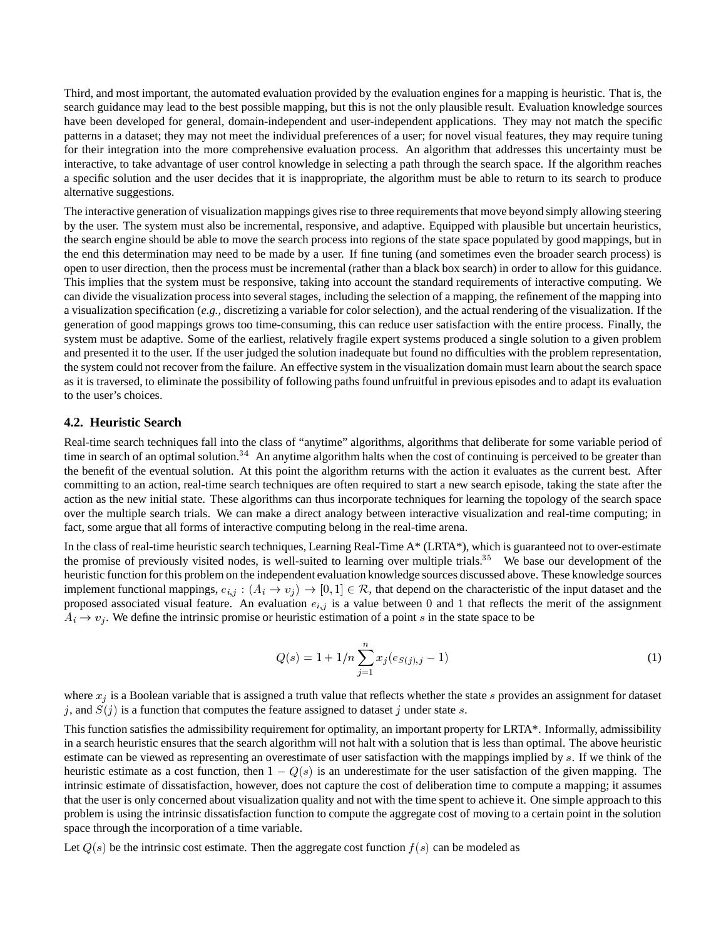Third, and most important, the automated evaluation provided by the evaluation engines for a mapping is heuristic. That is, the search guidance may lead to the best possible mapping, but this is not the only plausible result. Evaluation knowledge sources have been developed for general, domain-independent and user-independent applications. They may not match the specific patterns in a dataset; they may not meet the individual preferences of a user; for novel visual features, they may require tuning for their integration into the more comprehensive evaluation process. An algorithm that addresses this uncertainty must be interactive, to take advantage of user control knowledge in selecting a path through the search space. If the algorithm reaches a specific solution and the user decides that it is inappropriate, the algorithm must be able to return to its search to produce alternative suggestions.

The interactive generation of visualization mappings gives rise to three requirements that move beyond simply allowing steering by the user. The system must also be incremental, responsive, and adaptive. Equipped with plausible but uncertain heuristics, the search engine should be able to move the search process into regions of the state space populated by good mappings, but in the end this determination may need to be made by a user. If fine tuning (and sometimes even the broader search process) is open to user direction, then the process must be incremental (rather than a black box search) in order to allow for this guidance. This implies that the system must be responsive, taking into account the standard requirements of interactive computing. We can divide the visualization process into several stages, including the selection of a mapping, the refinement of the mapping into a visualization specification (*e.g.,* discretizing a variable for color selection), and the actual rendering of the visualization. If the generation of good mappings grows too time-consuming, this can reduce user satisfaction with the entire process. Finally, the system must be adaptive. Some of the earliest, relatively fragile expert systems produced a single solution to a given problem and presented it to the user. If the user judged the solution inadequate but found no difficulties with the problem representation, the system could not recover from the failure. An effective system in the visualization domain must learn about the search space as it is traversed, to eliminate the possibility of following paths found unfruitful in previous episodes and to adapt its evaluation to the user's choices.

#### **4.2. Heuristic Search**

Real-time search techniques fall into the class of "anytime" algorithms, algorithms that deliberate for some variable period of time in search of an optimal solution.<sup>34</sup> An anytime algorithm halts when the cost of continuing is perceived to be greater than the benefit of the eventual solution. At this point the algorithm returns with the action it evaluates as the current best. After committing to an action, real-time search techniques are often required to start a new search episode, taking the state after the action as the new initial state. These algorithms can thus incorporate techniques for learning the topology of the search space over the multiple search trials. We can make a direct analogy between interactive visualization and real-time computing; in fact, some argue that all forms of interactive computing belong in the real-time arena.

In the class of real-time heuristic search techniques, Learning Real-Time A\* (LRTA\*), which is guaranteed not to over-estimate the promise of previously visited nodes, is well-suited to learning over multiple trials.<sup>35</sup> We base our development of the heuristic function for this problem on the independent evaluation knowledge sources discussed above. These knowledge sources implement functional mappings,  $e_{i,j}$ :  $(A_i \to v_j) \to [0,1] \in \mathcal{R}$ , that depend on the characteristic of the input dataset and the proposed associated visual feature. An evaluation  $e_{i,j}$  is a value between 0 and 1 that reflects the merit of the assignment  $A_i \rightarrow v_j$ . We define the intrinsic promise or heuristic estimation of a point s in the state space to be

$$
Q(s) = 1 + 1/n \sum_{j=1}^{n} x_j (e_{S(j),j} - 1)
$$
\n(1)

where  $x_j$  is a Boolean variable that is assigned a truth value that reflects whether the state s provides an assignment for dataset j, and  $S(j)$  is a function that computes the feature assigned to dataset j under state s.

This function satisfies the admissibility requirement for optimality, an important property for LRTA\*. Informally, admissibility in a search heuristic ensures that the search algorithm will not halt with a solution that is less than optimal. The above heuristic estimate can be viewed as representing an overestimate of user satisfaction with the mappings implied by <sup>s</sup>. If we think of the heuristic estimate as a cost function, then  $1 - Q(s)$  is an underestimate for the user satisfaction of the given mapping. The intrinsic estimate of dissatisfaction, however, does not capture the cost of deliberation time to compute a mapping; it assumes that the user is only concerned about visualization quality and not with the time spent to achieve it. One simple approach to this problem is using the intrinsic dissatisfaction function to compute the aggregate cost of moving to a certain point in the solution space through the incorporation of a time variable.

Let  $Q(s)$  be the intrinsic cost estimate. Then the aggregate cost function  $f(s)$  can be modeled as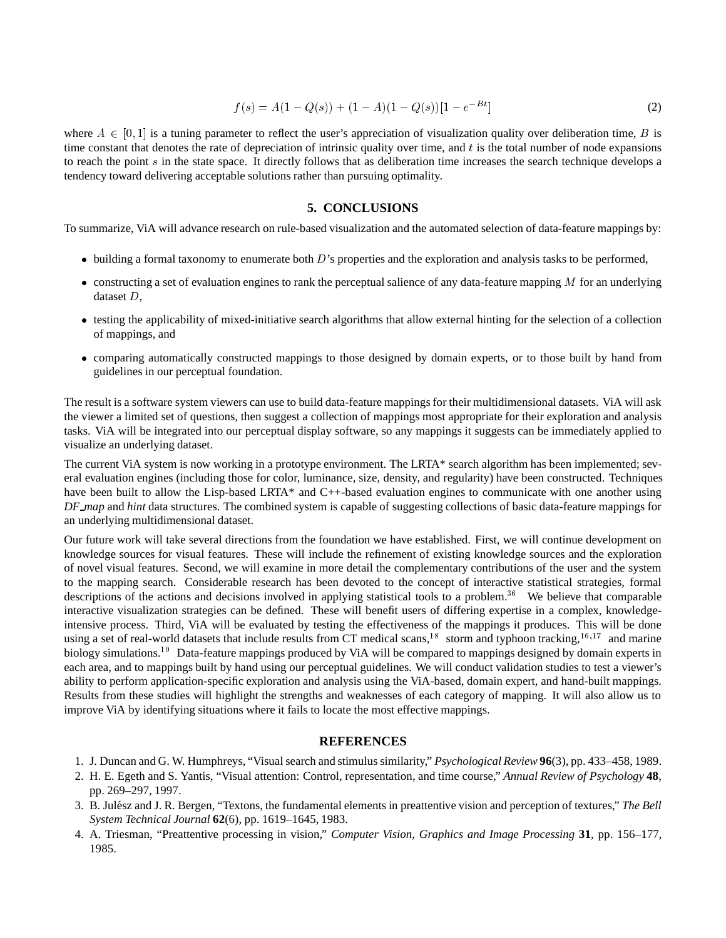$$
f(s) = A(1 - Q(s)) + (1 - A)(1 - Q(s))[1 - e^{-Bt}]
$$
\n(2)

where  $A \in [0, 1]$  is a tuning parameter to reflect the user's appreciation of visualization quality over deliberation time, B is time constant that denotes the rate of depreciation of intrinsic quality over time, and  $t$  is the total number of node expansions to reach the point s in the state space. It directly follows that as deliberation time increases the search technique develops a tendency toward delivering acceptable solutions rather than pursuing optimality.

#### **5. CONCLUSIONS**

To summarize, ViA will advance research on rule-based visualization and the automated selection of data-feature mappings by:

- $\bullet$  building a formal taxonomy to enumerate both D's properties and the exploration and analysis tasks to be performed,
- constructing a set of evaluation engines to rank the perceptual salience of any data-feature mapping  $M$  for an underlying dataset D,
- testing the applicability of mixed-initiative search algorithms that allow external hinting for the selection of a collection of mappings, and
- comparing automatically constructed mappings to those designed by domain experts, or to those built by hand from guidelines in our perceptual foundation.

The result is a software system viewers can use to build data-feature mappings for their multidimensional datasets. ViA will ask the viewer a limited set of questions, then suggest a collection of mappings most appropriate for their exploration and analysis tasks. ViA will be integrated into our perceptual display software, so any mappings it suggests can be immediately applied to visualize an underlying dataset.

The current ViA system is now working in a prototype environment. The LRTA\* search algorithm has been implemented; several evaluation engines (including those for color, luminance, size, density, and regularity) have been constructed. Techniques have been built to allow the Lisp-based LRTA\* and C++-based evaluation engines to communicate with one another using *DF map* and *hint* data structures. The combined system is capable of suggesting collections of basic data-feature mappings for an underlying multidimensional dataset.

Our future work will take several directions from the foundation we have established. First, we will continue development on knowledge sources for visual features. These will include the refinement of existing knowledge sources and the exploration of novel visual features. Second, we will examine in more detail the complementary contributions of the user and the system to the mapping search. Considerable research has been devoted to the concept of interactive statistical strategies, formal descriptions of the actions and decisions involved in applying statistical tools to a problem.<sup>36</sup> We believe that comparable interactive visualization strategies can be defined. These will benefit users of differing expertise in a complex, knowledgeintensive process. Third, ViA will be evaluated by testing the effectiveness of the mappings it produces. This will be done using a set of real-world datasets that include results from CT medical scans,<sup>18</sup> storm and typhoon tracking,<sup>16,17</sup> and marine biology simulations.<sup>19</sup> Data-feature mappings produced by ViA will be compared to mappings designed by domain experts in each area, and to mappings built by hand using our perceptual guidelines. We will conduct validation studies to test a viewer's ability to perform application-specific exploration and analysis using the ViA-based, domain expert, and hand-built mappings. Results from these studies will highlight the strengths and weaknesses of each category of mapping. It will also allow us to improve ViA by identifying situations where it fails to locate the most effective mappings.

#### **REFERENCES**

- 1. J. Duncan and G. W. Humphreys, "Visual search and stimulus similarity," *Psychological Review* **96**(3), pp. 433–458, 1989.
- 2. H. E. Egeth and S. Yantis, "Visual attention: Control, representation, and time course," *Annual Review of Psychology* **48**, pp. 269–297, 1997.
- 3. B. Jul´esz and J. R. Bergen, "Textons, the fundamental elements in preattentive vision and perception of textures," *The Bell System Technical Journal* **62**(6), pp. 1619–1645, 1983.
- 4. A. Triesman, "Preattentive processing in vision," *Computer Vision, Graphics and Image Processing* **31**, pp. 156–177, 1985.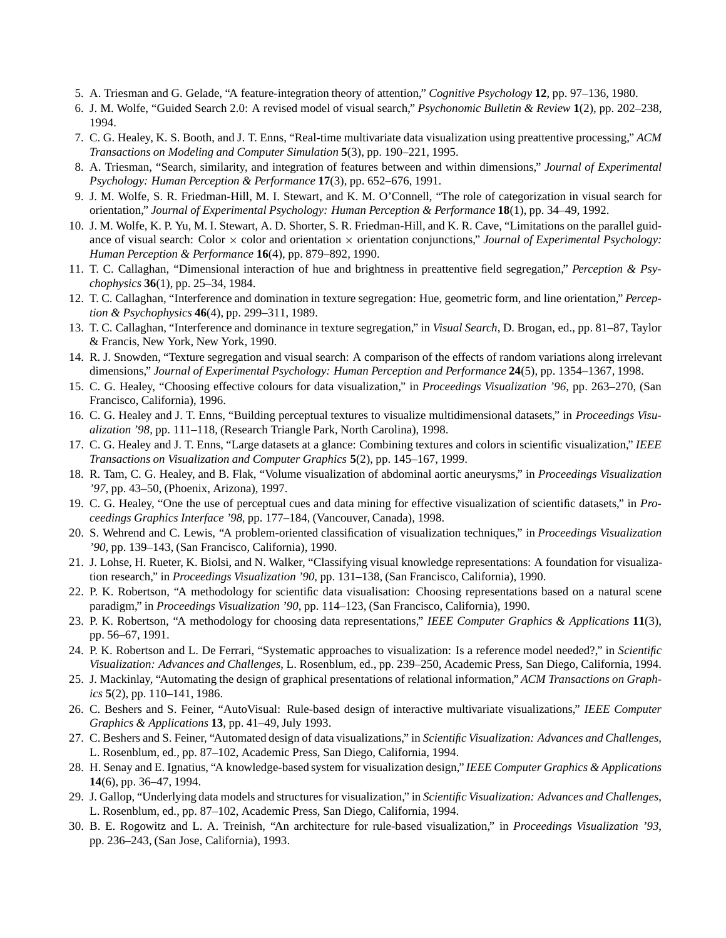- 5. A. Triesman and G. Gelade, "A feature-integration theory of attention," *Cognitive Psychology* **12**, pp. 97–136, 1980.
- 6. J. M. Wolfe, "Guided Search 2.0: A revised model of visual search," *Psychonomic Bulletin & Review* **1**(2), pp. 202–238, 1994.
- 7. C. G. Healey, K. S. Booth, and J. T. Enns, "Real-time multivariate data visualization using preattentive processing," *ACM Transactions on Modeling and Computer Simulation* **5**(3), pp. 190–221, 1995.
- 8. A. Triesman, "Search, similarity, and integration of features between and within dimensions," *Journal of Experimental Psychology: Human Perception & Performance* **17**(3), pp. 652–676, 1991.
- 9. J. M. Wolfe, S. R. Friedman-Hill, M. I. Stewart, and K. M. O'Connell, "The role of categorization in visual search for orientation," *Journal of Experimental Psychology: Human Perception & Performance* **18**(1), pp. 34–49, 1992.
- 10. J. M. Wolfe, K. P. Yu, M. I. Stewart, A. D. Shorter, S. R. Friedman-Hill, and K. R. Cave, "Limitations on the parallel guidance of visual search: Color  $\times$  color and orientation  $\times$  orientation conjunctions," *Journal of Experimental Psychology*: *Human Perception & Performance* **16**(4), pp. 879–892, 1990.
- 11. T. C. Callaghan, "Dimensional interaction of hue and brightness in preattentive field segregation," *Perception & Psychophysics* **36**(1), pp. 25–34, 1984.
- 12. T. C. Callaghan, "Interference and domination in texture segregation: Hue, geometric form, and line orientation," *Perception & Psychophysics* **46**(4), pp. 299–311, 1989.
- 13. T. C. Callaghan, "Interference and dominance in texture segregation," in *Visual Search*, D. Brogan, ed., pp. 81–87, Taylor & Francis, New York, New York, 1990.
- 14. R. J. Snowden, "Texture segregation and visual search: A comparison of the effects of random variations along irrelevant dimensions," *Journal of Experimental Psychology: Human Perception and Performance* **24**(5), pp. 1354–1367, 1998.
- 15. C. G. Healey, "Choosing effective colours for data visualization," in *Proceedings Visualization '96*, pp. 263–270, (San Francisco, California), 1996.
- 16. C. G. Healey and J. T. Enns, "Building perceptual textures to visualize multidimensional datasets," in *Proceedings Visualization '98*, pp. 111–118, (Research Triangle Park, North Carolina), 1998.
- 17. C. G. Healey and J. T. Enns, "Large datasets at a glance: Combining textures and colors in scientific visualization," *IEEE Transactions on Visualization and Computer Graphics* **5**(2), pp. 145–167, 1999.
- 18. R. Tam, C. G. Healey, and B. Flak, "Volume visualization of abdominal aortic aneurysms," in *Proceedings Visualization '97*, pp. 43–50, (Phoenix, Arizona), 1997.
- 19. C. G. Healey, "One the use of perceptual cues and data mining for effective visualization of scientific datasets," in *Proceedings Graphics Interface '98*, pp. 177–184, (Vancouver, Canada), 1998.
- 20. S. Wehrend and C. Lewis, "A problem-oriented classification of visualization techniques," in *Proceedings Visualization '90*, pp. 139–143, (San Francisco, California), 1990.
- 21. J. Lohse, H. Rueter, K. Biolsi, and N. Walker, "Classifying visual knowledge representations: A foundation for visualization research," in *Proceedings Visualization '90*, pp. 131–138, (San Francisco, California), 1990.
- 22. P. K. Robertson, "A methodology for scientific data visualisation: Choosing representations based on a natural scene paradigm," in *Proceedings Visualization '90*, pp. 114–123, (San Francisco, California), 1990.
- 23. P. K. Robertson, "A methodology for choosing data representations," *IEEE Computer Graphics & Applications* **11**(3), pp. 56–67, 1991.
- 24. P. K. Robertson and L. De Ferrari, "Systematic approaches to visualization: Is a reference model needed?," in *Scientific Visualization: Advances and Challenges*, L. Rosenblum, ed., pp. 239–250, Academic Press, San Diego, California, 1994.
- 25. J. Mackinlay, "Automating the design of graphical presentations of relational information," *ACM Transactions on Graphics* **5**(2), pp. 110–141, 1986.
- 26. C. Beshers and S. Feiner, "AutoVisual: Rule-based design of interactive multivariate visualizations," *IEEE Computer Graphics & Applications* **13**, pp. 41–49, July 1993.
- 27. C. Beshers and S. Feiner, "Automated design of data visualizations," in *Scientific Visualization: Advances and Challenges*, L. Rosenblum, ed., pp. 87–102, Academic Press, San Diego, California, 1994.
- 28. H. Senay and E. Ignatius, "A knowledge-based system for visualization design," *IEEE Computer Graphics & Applications* **14**(6), pp. 36–47, 1994.
- 29. J. Gallop, "Underlying data models and structures for visualization," in *Scientific Visualization: Advances and Challenges*, L. Rosenblum, ed., pp. 87–102, Academic Press, San Diego, California, 1994.
- 30. B. E. Rogowitz and L. A. Treinish, "An architecture for rule-based visualization," in *Proceedings Visualization '93*, pp. 236–243, (San Jose, California), 1993.